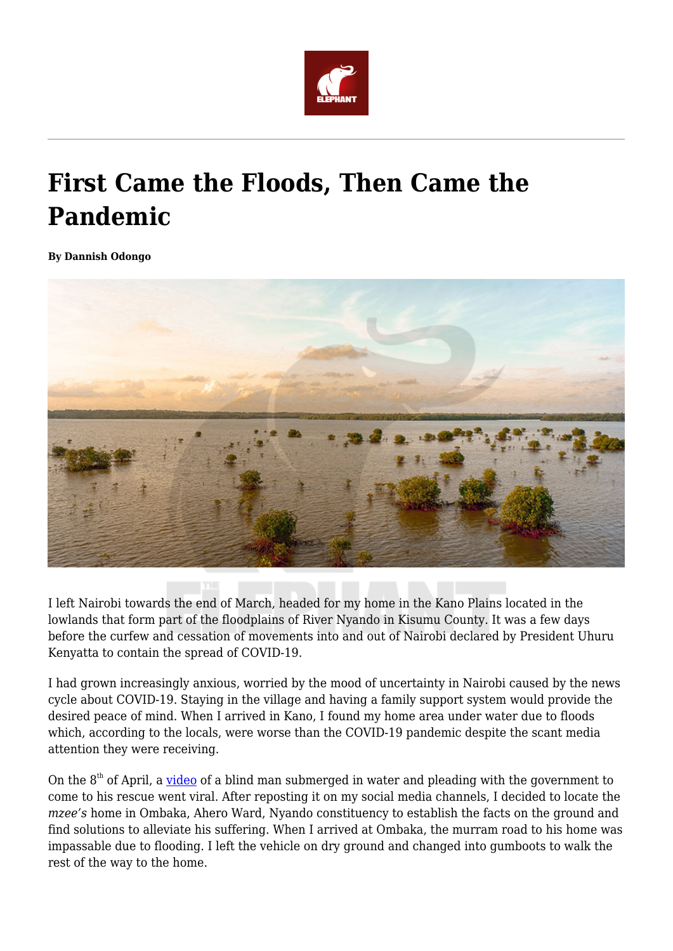

## **First Came the Floods, Then Came the Pandemic**

**By Dannish Odongo**



I left Nairobi towards the end of March, headed for my home in the Kano Plains located in the lowlands that form part of the floodplains of River Nyando in Kisumu County. It was a few days before the curfew and cessation of movements into and out of Nairobi declared by President Uhuru Kenyatta to contain the spread of COVID-19.

I had grown increasingly anxious, worried by the mood of uncertainty in Nairobi caused by the news cycle about COVID-19. Staying in the village and having a family support system would provide the desired peace of mind. When I arrived in Kano, I found my home area under water due to floods which, according to the locals, were worse than the COVID-19 pandemic despite the scant media attention they were receiving.

On the  $8<sup>th</sup>$  of April, a [video](https://www.facebook.com/apuoyo.biggy.9/videos/2910766168992020) of a blind man submerged in water and pleading with the government to come to his rescue went viral. After reposting it on my social media channels, I decided to locate the *mzee's* home in Ombaka, Ahero Ward, Nyando constituency to establish the facts on the ground and find solutions to alleviate his suffering. When I arrived at Ombaka, the murram road to his home was impassable due to flooding. I left the vehicle on dry ground and changed into gumboots to walk the rest of the way to the home.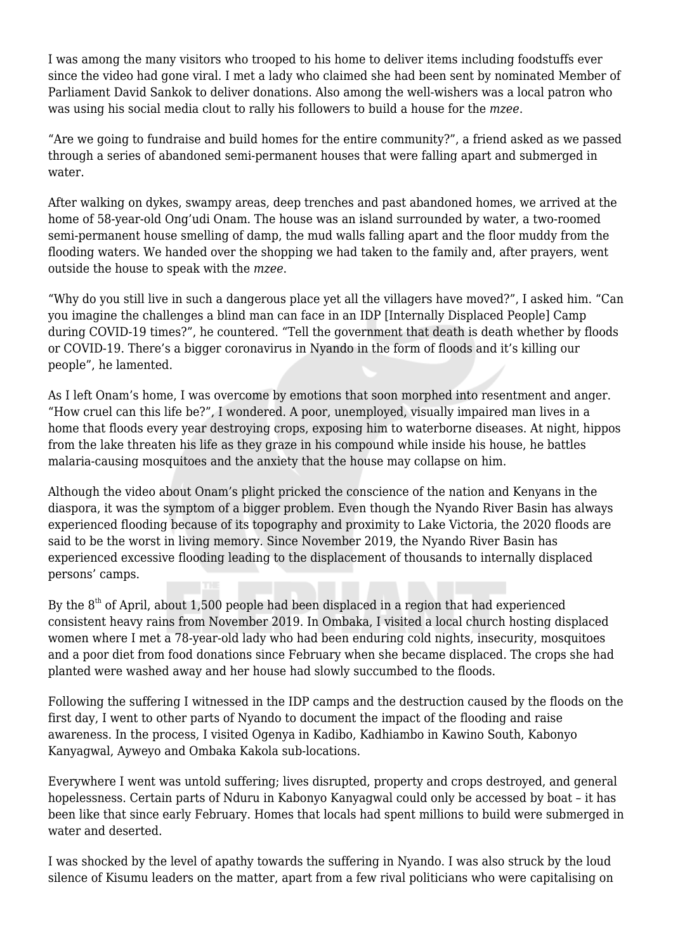I was among the many visitors who trooped to his home to deliver items including foodstuffs ever since the video had gone viral. I met a lady who claimed she had been sent by nominated Member of Parliament David Sankok to deliver donations. Also among the well-wishers was a local patron who was using his social media clout to rally his followers to build a house for the *mzee*.

"Are we going to fundraise and build homes for the entire community?", a friend asked as we passed through a series of abandoned semi-permanent houses that were falling apart and submerged in water.

After walking on dykes, swampy areas, deep trenches and past abandoned homes, we arrived at the home of 58-year-old Ong'udi Onam. The house was an island surrounded by water, a two-roomed semi-permanent house smelling of damp, the mud walls falling apart and the floor muddy from the flooding waters. We handed over the shopping we had taken to the family and, after prayers, went outside the house to speak with the *mzee*.

"Why do you still live in such a dangerous place yet all the villagers have moved?", I asked him. "Can you imagine the challenges a blind man can face in an IDP [Internally Displaced People] Camp during COVID-19 times?", he countered. "Tell the government that death is death whether by floods or COVID-19. There's a bigger coronavirus in Nyando in the form of floods and it's killing our people", he lamented.

As I left Onam's home, I was overcome by emotions that soon morphed into resentment and anger. "How cruel can this life be?", I wondered. A poor, unemployed, visually impaired man lives in a home that floods every year destroying crops, exposing him to waterborne diseases. At night, hippos from the lake threaten his life as they graze in his compound while inside his house, he battles malaria-causing mosquitoes and the anxiety that the house may collapse on him.

Although the video about Onam's plight pricked the conscience of the nation and Kenyans in the diaspora, it was the symptom of a bigger problem. Even though the Nyando River Basin has always experienced flooding because of its topography and proximity to Lake Victoria, the 2020 floods are said to be the worst in living memory. Since November 2019, the Nyando River Basin has experienced excessive flooding leading to the displacement of thousands to internally displaced persons' camps.

By the  $8<sup>th</sup>$  of April, about 1,500 people had been displaced in a region that had experienced consistent heavy rains from November 2019. In Ombaka, I visited a local church hosting displaced women where I met a 78-year-old lady who had been enduring cold nights, insecurity, mosquitoes and a poor diet from food donations since February when she became displaced. The crops she had planted were washed away and her house had slowly succumbed to the floods.

Following the suffering I witnessed in the IDP camps and the destruction caused by the floods on the first day, I went to other parts of Nyando to document the impact of the flooding and raise awareness. In the process, I visited Ogenya in Kadibo, Kadhiambo in Kawino South, Kabonyo Kanyagwal, Ayweyo and Ombaka Kakola sub-locations.

Everywhere I went was untold suffering; lives disrupted, property and crops destroyed, and general hopelessness. Certain parts of Nduru in Kabonyo Kanyagwal could only be accessed by boat – it has been like that since early February. Homes that locals had spent millions to build were submerged in water and deserted.

I was shocked by the level of apathy towards the suffering in Nyando. I was also struck by the loud silence of Kisumu leaders on the matter, apart from a few rival politicians who were capitalising on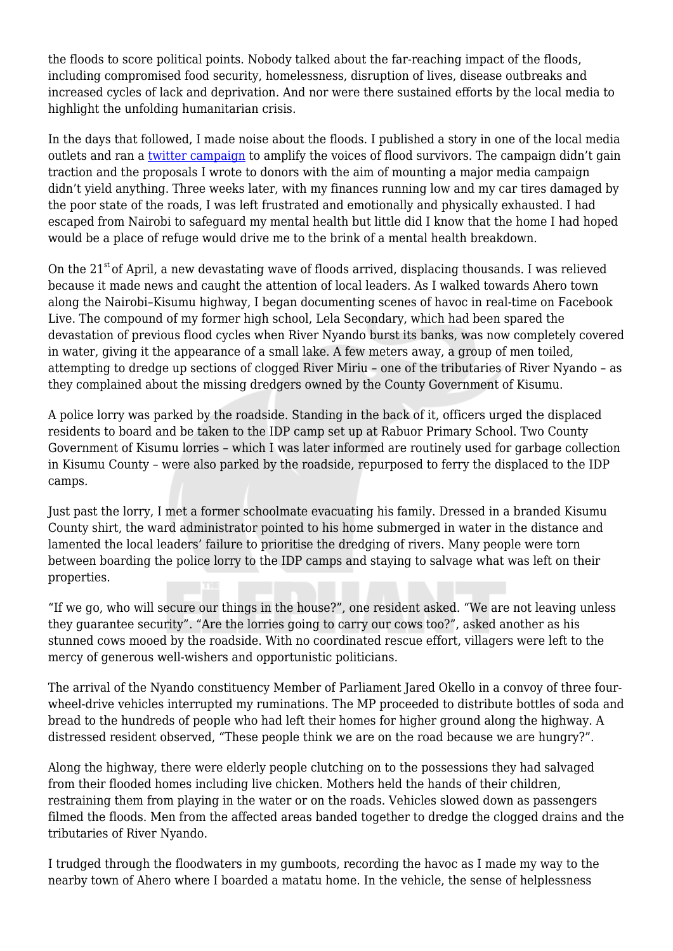the floods to score political points. Nobody talked about the far-reaching impact of the floods, including compromised food security, homelessness, disruption of lives, disease outbreaks and increased cycles of lack and deprivation. And nor were there sustained efforts by the local media to highlight the unfolding humanitarian crisis.

In the days that followed, I made noise about the floods. I published a story in one of the local media outlets and ran a [twitter campaign](https://twitter.com/dannishodongo/status/1251439008523190272) to amplify the voices of flood survivors. The campaign didn't gain traction and the proposals I wrote to donors with the aim of mounting a major media campaign didn't yield anything. Three weeks later, with my finances running low and my car tires damaged by the poor state of the roads, I was left frustrated and emotionally and physically exhausted. I had escaped from Nairobi to safeguard my mental health but little did I know that the home I had hoped would be a place of refuge would drive me to the brink of a mental health breakdown.

On the  $21<sup>st</sup>$  of April, a new devastating wave of floods arrived, displacing thousands. I was relieved because it made news and caught the attention of local leaders. As I walked towards Ahero town along the Nairobi–Kisumu highway, I began documenting scenes of havoc in real-time on Facebook Live. The compound of my former high school, Lela Secondary, which had been spared the devastation of previous flood cycles when River Nyando burst its banks, was now completely covered in water, giving it the appearance of a small lake. A few meters away, a group of men toiled, attempting to dredge up sections of clogged River Miriu – one of the tributaries of River Nyando – as they complained about the missing dredgers owned by the County Government of Kisumu.

A police lorry was parked by the roadside. Standing in the back of it, officers urged the displaced residents to board and be taken to the IDP camp set up at Rabuor Primary School. Two County Government of Kisumu lorries – which I was later informed are routinely used for garbage collection in Kisumu County – were also parked by the roadside, repurposed to ferry the displaced to the IDP camps.

Just past the lorry, I met a former schoolmate evacuating his family. Dressed in a branded Kisumu County shirt, the ward administrator pointed to his home submerged in water in the distance and lamented the local leaders' failure to prioritise the dredging of rivers. Many people were torn between boarding the police lorry to the IDP camps and staying to salvage what was left on their properties.

"If we go, who will secure our things in the house?", one resident asked. "We are not leaving unless they guarantee security". "Are the lorries going to carry our cows too?", asked another as his stunned cows mooed by the roadside. With no coordinated rescue effort, villagers were left to the mercy of generous well-wishers and opportunistic politicians.

The arrival of the Nyando constituency Member of Parliament Jared Okello in a convoy of three fourwheel-drive vehicles interrupted my ruminations. The MP proceeded to distribute bottles of soda and bread to the hundreds of people who had left their homes for higher ground along the highway. A distressed resident observed, "These people think we are on the road because we are hungry?".

Along the highway, there were elderly people clutching on to the possessions they had salvaged from their flooded homes including live chicken. Mothers held the hands of their children, restraining them from playing in the water or on the roads. Vehicles slowed down as passengers filmed the floods. Men from the affected areas banded together to dredge the clogged drains and the tributaries of River Nyando.

I trudged through the floodwaters in my gumboots, recording the havoc as I made my way to the nearby town of Ahero where I boarded a matatu home. In the vehicle, the sense of helplessness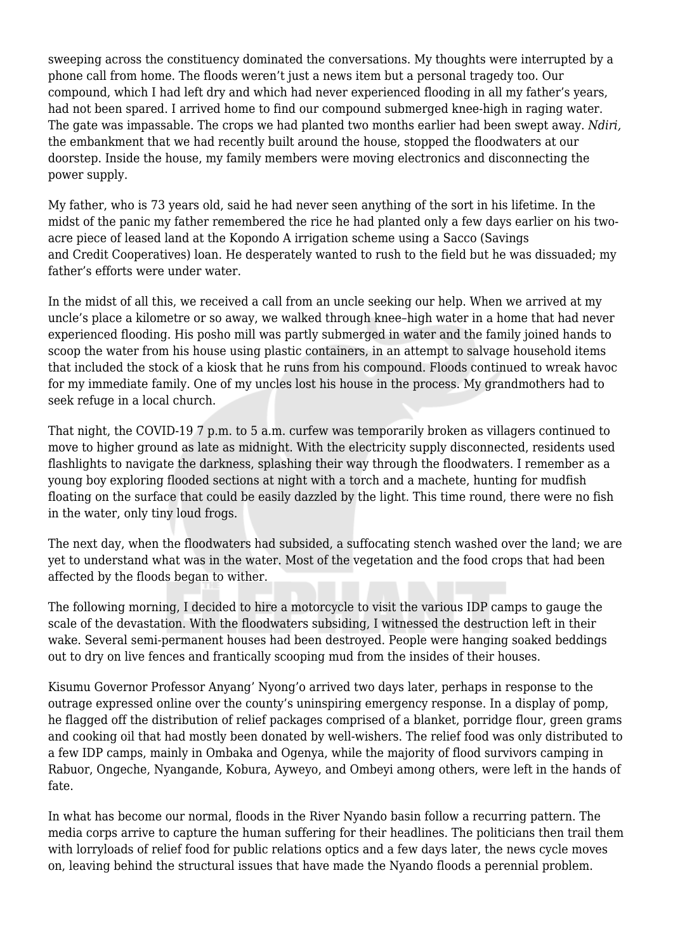sweeping across the constituency dominated the conversations. My thoughts were interrupted by a phone call from home. The floods weren't just a news item but a personal tragedy too. Our compound, which I had left dry and which had never experienced flooding in all my father's years, had not been spared. I arrived home to find our compound submerged knee-high in raging water. The gate was impassable. The crops we had planted two months earlier had been swept away. *Ndiri,* the embankment that we had recently built around the house, stopped the floodwaters at our doorstep. Inside the house, my family members were moving electronics and disconnecting the power supply.

My father, who is 73 years old, said he had never seen anything of the sort in his lifetime. In the midst of the panic my father remembered the rice he had planted only a few days earlier on his twoacre piece of leased land at the Kopondo A irrigation scheme using a Sacco (Savings and Credit Cooperatives) loan. He desperately wanted to rush to the field but he was dissuaded; my father's efforts were under water.

In the midst of all this, we received a call from an uncle seeking our help. When we arrived at my uncle's place a kilometre or so away, we walked through knee–high water in a home that had never experienced flooding. His posho mill was partly submerged in water and the family joined hands to scoop the water from his house using plastic containers, in an attempt to salvage household items that included the stock of a kiosk that he runs from his compound. Floods continued to wreak havoc for my immediate family. One of my uncles lost his house in the process. My grandmothers had to seek refuge in a local church.

That night, the COVID-19 7 p.m. to 5 a.m. curfew was temporarily broken as villagers continued to move to higher ground as late as midnight. With the electricity supply disconnected, residents used flashlights to navigate the darkness, splashing their way through the floodwaters. I remember as a young boy exploring flooded sections at night with a torch and a machete, hunting for mudfish floating on the surface that could be easily dazzled by the light. This time round, there were no fish in the water, only tiny loud frogs.

The next day, when the floodwaters had subsided, a suffocating stench washed over the land; we are yet to understand what was in the water. Most of the vegetation and the food crops that had been affected by the floods began to wither.

The following morning, I decided to hire a motorcycle to visit the various IDP camps to gauge the scale of the devastation. With the floodwaters subsiding, I witnessed the destruction left in their wake. Several semi-permanent houses had been destroyed. People were hanging soaked beddings out to dry on live fences and frantically scooping mud from the insides of their houses.

Kisumu Governor Professor Anyang' Nyong'o arrived two days later, perhaps in response to the outrage expressed online over the county's uninspiring emergency response. In a display of pomp, he flagged off the distribution of relief packages comprised of a blanket, porridge flour, green grams and cooking oil that had mostly been donated by well-wishers. The relief food was only distributed to a few IDP camps, mainly in Ombaka and Ogenya, while the majority of flood survivors camping in Rabuor, Ongeche, Nyangande, Kobura, Ayweyo, and Ombeyi among others, were left in the hands of fate.

In what has become our normal, floods in the River Nyando basin follow a recurring pattern. The media corps arrive to capture the human suffering for their headlines. The politicians then trail them with lorryloads of relief food for public relations optics and a few days later, the news cycle moves on, leaving behind the structural issues that have made the Nyando floods a perennial problem.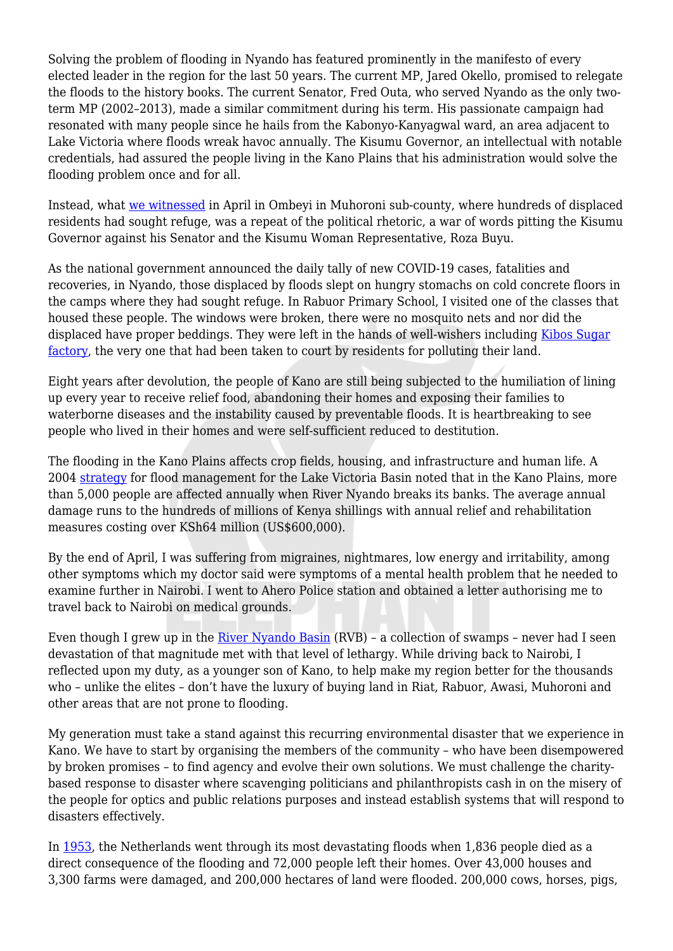Solving the problem of flooding in Nyando has featured prominently in the manifesto of every elected leader in the region for the last 50 years. The current MP, Jared Okello, promised to relegate the floods to the history books. The current Senator, Fred Outa, who served Nyando as the only twoterm MP (2002–2013), made a similar commitment during his term. His passionate campaign had resonated with many people since he hails from the Kabonyo-Kanyagwal ward, an area adjacent to Lake Victoria where floods wreak havoc annually. The Kisumu Governor, an intellectual with notable credentials, had assured the people living in the Kano Plains that his administration would solve the flooding problem once and for all.

Instead, what [we witnessed](https://www.youtube.com/watch?v=J_hWT0M51oQ) in April in Ombeyi in Muhoroni sub-county, where hundreds of displaced residents had sought refuge, was a repeat of the political rhetoric, a war of words pitting the Kisumu Governor against his Senator and the Kisumu Woman Representative, Roza Buyu.

As the national government announced the daily tally of new COVID-19 cases, fatalities and recoveries, in Nyando, those displaced by floods slept on hungry stomachs on cold concrete floors in the camps where they had sought refuge. In Rabuor Primary School, I visited one of the classes that housed these people. The windows were broken, there were no mosquito nets and nor did the displaced have proper beddings. They were left in the hands of well-wishers including [Kibos Sugar](https://www.business-humanrights.org/en/kenya-residents-take-kibos-sugar-agro-chemicals-to-court-over-alleged-water-land-pollution) [factory,](https://www.business-humanrights.org/en/kenya-residents-take-kibos-sugar-agro-chemicals-to-court-over-alleged-water-land-pollution) the very one that had been taken to court by residents for polluting their land.

Eight years after devolution, the people of Kano are still being subjected to the humiliation of lining up every year to receive relief food, abandoning their homes and exposing their families to waterborne diseases and the instability caused by preventable floods. It is heartbreaking to see people who lived in their homes and were self-sufficient reduced to destitution.

The flooding in the Kano Plains affects crop fields, housing, and infrastructure and human life. A 2004 [strategy](http://www.apfm.info/pdf/strategy_kenya_e.pdf) for flood management for the Lake Victoria Basin noted that in the Kano Plains, more than 5,000 people are affected annually when River Nyando breaks its banks. The average annual damage runs to the hundreds of millions of Kenya shillings with annual relief and rehabilitation measures costing over KSh64 million (US\$600,000).

By the end of April, I was suffering from migraines, nightmares, low energy and irritability, among other symptoms which my doctor said were symptoms of a mental health problem that he needed to examine further in Nairobi. I went to Ahero Police station and obtained a letter authorising me to travel back to Nairobi on medical grounds.

Even though I grew up in the [River Nyando Basin](https://www.undp.org/content/dam/kenya/docs/energy_and_environment/Nyando%20Book%20-%20FINAL%20MOST-internet.pdf) (RVB) – a collection of swamps – never had I seen devastation of that magnitude met with that level of lethargy. While driving back to Nairobi, I reflected upon my duty, as a younger son of Kano, to help make my region better for the thousands who – unlike the elites – don't have the luxury of buying land in Riat, Rabuor, Awasi, Muhoroni and other areas that are not prone to flooding.

My generation must take a stand against this recurring environmental disaster that we experience in Kano. We have to start by organising the members of the community – who have been disempowered by broken promises – to find agency and evolve their own solutions. We must challenge the charitybased response to disaster where scavenging politicians and philanthropists cash in on the misery of the people for optics and public relations purposes and instead establish systems that will respond to disasters effectively.

In [1953](http://www.deltawerken.com/The-flood-of-1953/89.html), the Netherlands went through its most devastating floods when 1,836 people died as a direct consequence of the flooding and 72,000 people left their homes. Over 43,000 houses and 3,300 farms were damaged, and 200,000 hectares of land were flooded. 200,000 cows, horses, pigs,